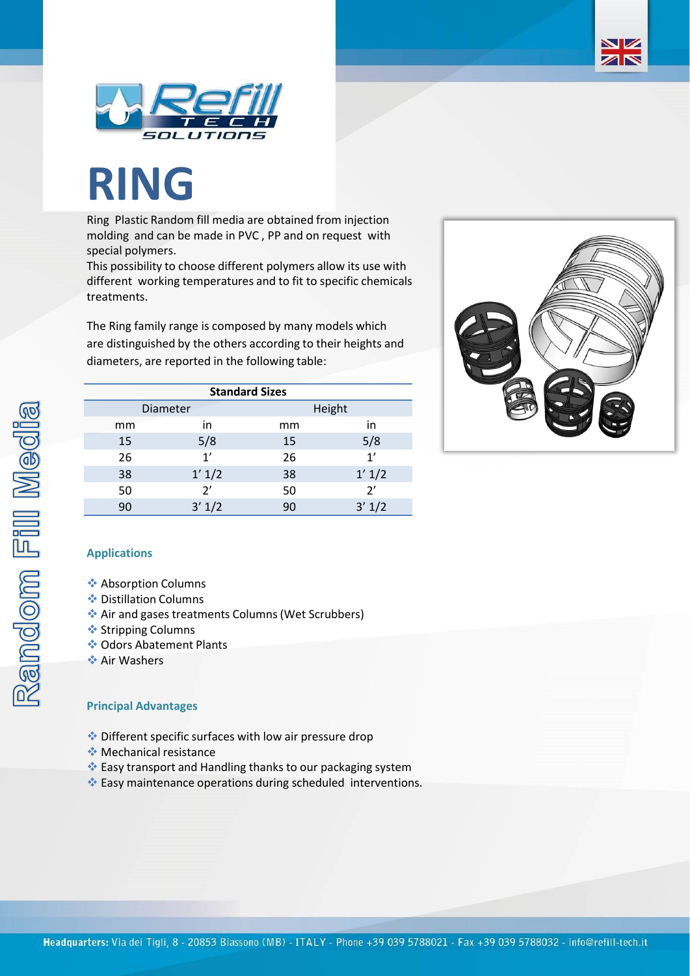

## **RING**

Ring Plastic Random fill media are obtained from injection molding and can be made in PVC , PP and on request with special polymers.

This possibility to choose different polymers allow its use with different working temperatures and to fit to specific chemicals treatments.

The Ring family range is composed by many models which are distinguished by the others according to their heights and diameters, are reported in the following table:

| <b>Standard Sizes</b> |        |        |        |  |  |  |
|-----------------------|--------|--------|--------|--|--|--|
| Diameter              |        | Height |        |  |  |  |
| mm                    | in     | mm     | in     |  |  |  |
| 15                    | 5/8    | 15     | 5/8    |  |  |  |
| 26                    | 1'     | 26     | 1'     |  |  |  |
| 38                    | 1' 1/2 | 38     | 1' 1/2 |  |  |  |
| 50                    | 2'     | 50     | 2'     |  |  |  |
| 90                    | 3' 1/2 | 90     | 3' 1/2 |  |  |  |



NZ ZN

## **Applications**

- ❖ Absorption Columns
- ❖ Distillation Columns
- ❖ Air and gases treatments Columns (Wet Scrubbers)
- ❖ Stripping Columns
- ❖ Odors Abatement Plants
- ❖ Air Washers

## **Principal Advantages**

- ❖ Different specific surfaces with low air pressure drop
- ❖ Mechanical resistance
- ❖ Easy transport and Handling thanks to our packaging system
- ❖ Easy maintenance operations during scheduled interventions.